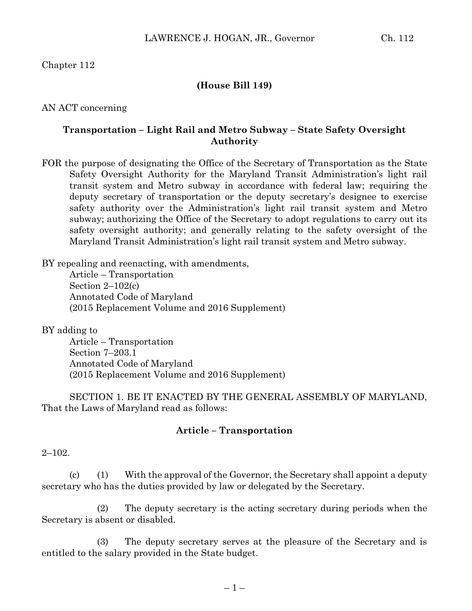Chapter 112

## **(House Bill 149)**

AN ACT concerning

## **Transportation – Light Rail and Metro Subway – State Safety Oversight Authority**

FOR the purpose of designating the Office of the Secretary of Transportation as the State Safety Oversight Authority for the Maryland Transit Administration's light rail transit system and Metro subway in accordance with federal law; requiring the deputy secretary of transportation or the deputy secretary's designee to exercise safety authority over the Administration's light rail transit system and Metro subway; authorizing the Office of the Secretary to adopt regulations to carry out its safety oversight authority; and generally relating to the safety oversight of the Maryland Transit Administration's light rail transit system and Metro subway.

BY repealing and reenacting, with amendments,

Article – Transportation Section 2–102(c) Annotated Code of Maryland (2015 Replacement Volume and 2016 Supplement)

BY adding to

Article – Transportation Section 7–203.1 Annotated Code of Maryland (2015 Replacement Volume and 2016 Supplement)

SECTION 1. BE IT ENACTED BY THE GENERAL ASSEMBLY OF MARYLAND, That the Laws of Maryland read as follows:

## **Article – Transportation**

 $2 - 102.$ 

(c) (1) With the approval of the Governor, the Secretary shall appoint a deputy secretary who has the duties provided by law or delegated by the Secretary.

(2) The deputy secretary is the acting secretary during periods when the Secretary is absent or disabled.

(3) The deputy secretary serves at the pleasure of the Secretary and is entitled to the salary provided in the State budget.